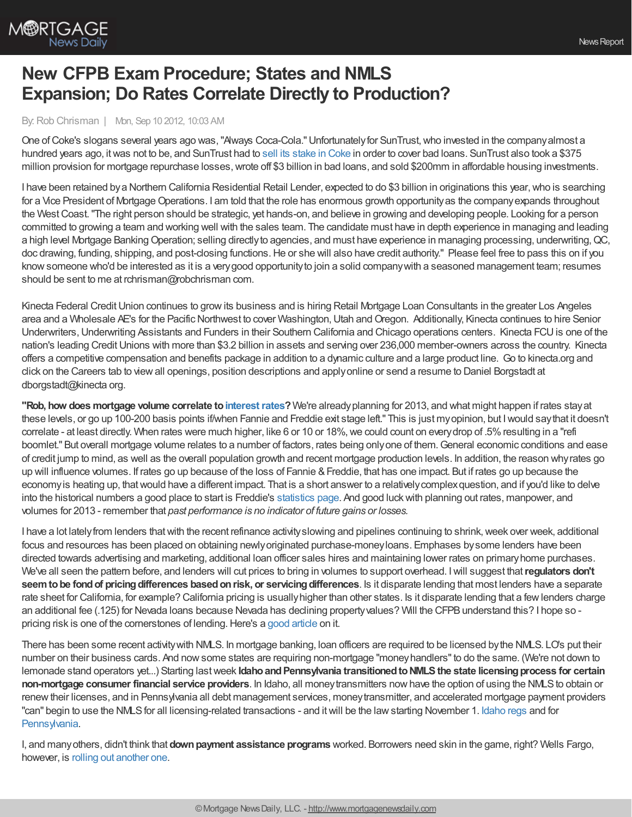

## **New CFPB Exam Procedure; States and NMLS Expansion; Do Rates Correlate Directly to Production?**

## By:Rob Chrisman | Mon, Sep 10 2012, 10:03 AM

One ofCoke's slogans several years ago was,"Always Coca-Cola."Unfortunatelyfor SunTrust,who invested in the companyalmost a hundred years ago, itwas not to be, and SunTrust had to sell its [stake](http://www.bloomberg.com/news/2012-09-06/suntrust-sells-coke-stock-overhauls-loans-for-750-million-gain.html) in Coke in order to cover bad loans. SunTrust also took a \$375 million provision for mortgage repurchase losses, wrote off \$3 billion in bad loans, and sold \$200mm in affordable housing investments.

I have been retained by a Northern California Residential Retail Lender, expected to do \$3 billion in originations this year, who is searching for a Vice President of Mortgage Operations. I am told that the role has enormous growth opportunity as the company expands throughout the West Coast. "The right person should be strategic, yet hands-on, and believe in growing and developing people. Looking for a person committed to growing a team and working well with the sales team. The candidate must have in depth experience in managing and leading a high level Mortgage Banking Operation; selling directly to agencies, and must have experience in managing processing, underwriting, QC, doc drawing, funding, shipping, and post-closing functions.He or she will also have credit authority." Please feel free to pass this on if you knowsomeone who'd be interested as it is a verygood opportunityto join a solid companywith a seasoned management team; resumes should be sent to me at rchrisman@robchrisman com.

Kinecta Federal Credit Union continues to grow its business and is hiring Retail Mortgage Loan Consultants in the greater Los Angeles area and a Wholesale AE's for the Pacific Northwest to cover Washington, Utah and Oregon. Additionally, Kinecta continues to hire Senior Underwriters,Underwriting Assistants and Funders in their Southern California and Chicago operations centers. Kinecta FCUis one of the nation's leading Credit Unions with more than \$3.2 billion in assets and serving over 236,000 member-owners across the country. Kinecta offers a competitive compensation and benefits package in addition to a dynamic culture and a large product line. Go to kinecta.org and click on the Careers tab to viewall openings, position descriptions and applyonline or send a resume to Daniel Borgstadt at dborgstadt@kinecta org.

**"Rob, how does mortgage volume correlate to[interestrates](http://www.mortgagenewsdaily.com/mortgage_rates/)?**We're alreadyplanning for 2013, and what might happen if rates stayat these levels, or go up 100-200 basis points if/when Fannie and Freddie exit stage left." This is just myopinion, but Iwould saythat it doesn't correlate - at least directly. When rates were much higher, like 6 or 10 or 18%, we could count on every drop of .5% resulting in a "refi boomlet." But overall mortgage volume relates to a number of factors, rates being onlyone of them.General economic conditions and ease of credit jump to mind, as well as the overall population growth and recent mortgage production levels. In addition, the reason whyrates go up will influence volumes. If rates go up because of the loss of Fannie & Freddie, that has one impact. But if rates go up because the economyis heating up, thatwould have a different impact. That is a short answer to a relativelycomplexquestion, and if you'd like to delve into the historical numbers a good place to start is Freddie's [statistics](http://www.freddiemac.com/news/finance/refi_archives.htm) page. And good luckwith planning out rates, manpower, and volumes for 2013 - remember that *past performance is no indicator of future gains or losses.*

I have a lot lately from lenders that with the recent refinance activity slowing and pipelines continuing to shrink, week over week, additional focus and resources has been placed on obtaining newlyoriginated purchase-moneyloans. Emphases bysome lenders have been directed towards advertising and marketing, additional loan officer sales hires and maintaining lower rates on primaryhome purchases. We've all seen the pattern before, and lenders will cut prices to bring in volumes to support overhead. Iwill suggest that**regulators don't seemtobe fondof pricingdifferences basedonrisk, or servicingdifferences**. Is it disparate lending that most lenders have a separate rate sheet for California, for example? California pricing is usuallyhigher than other states. Is it disparate lending that a fewlenders charge an additional fee (.125) for Nevada loans because Nevada has declining propertyvalues? Will the CFPBunderstand this? I hope so pricing risk is one of the cornerstones of lending. Here's a good [article](http://blogs.wsj.com/developments/2012/08/31/should-mortgage-rates-vary-by-state/) on it.

There has been some recent activitywith NMLS. In mortgage banking, loan officers are required to be licensed bythe NMLS. LO's put their number on their business cards. And nowsome states are requiring non-mortgage "moneyhandlers"to do the same. (We're not down to lemonade stand operators yet...) Starting lastweek **IdahoandPennsylvania transitionedtoNMLSthe state licensingprocess for certain non-mortgage consumer financial service providers**. In Idaho, all money transmitters now have the option of using the NMLS to obtain or renewtheir licenses, and in Pennsylvania all debt management services, moneytransmitter, and accelerated mortgage payment providers "can" begin to use the NMLSfor all licensing-related transactions - and itwill be the lawstarting November 1. [Idaho](http://mortgage.nationwidelicensingsystem.org/slr/StateForms/ID-PressRel-NMLS-08-27-2012.pdf) regs and for [Pennsylvania.](http://www.buckleysandler.com/uploads/36/doc/PA%20DOB%20Transition%20Plan.pdf)

I, and manyothers, didn't think that **downpayment assistance programs** worked. Borrowers need skin in the game, right? Wells Fargo, however, is rolling out [another](http://www.myfoxtwincities.com/story/19457044/wells-fargo-debuts-lift-program-to-help-with-down-payments) one.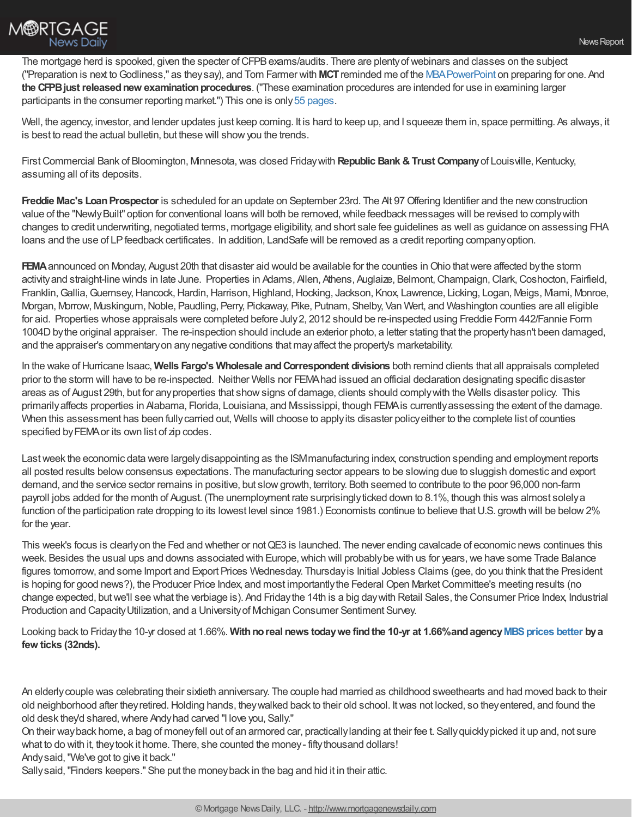

The mortgage herd is spooked, given the specter of CFPB exams/audits. There are plenty of webinars and classes on the subject ("Preparation is next toGodliness," as theysay), and Tom Farmer with **MCT**reminded me of the [MBAPowerPoint](http://www.mortgagebankers.org/files/ResourceCenter/IndependentMortgageBanks/PreparingforaCFPBExamination.pdf) on preparing for one. And **the CFPB just released new examination procedures**. ("These examination procedures are intended for use in examining larger participants in the consumer reporting market.") This one is only55 [pages](http://files.consumerfinance.gov/f/201209_cfpb_Consumer_Reporting_Examination_Procedures.pdf).

Well, the agency, investor, and lender updates just keep coming. It is hard to keep up, and I squeeze them in, space permitting. As always, it is best to read the actual bulletin, but these will show you the trends.

FirstCommercial Bank of Bloomington, Minnesota,was closed Fridaywith **Republic Bank &Trust Company**of Louisville, Kentucky, assuming all of its deposits.

**Freddie Mac's Loan Prospector** is scheduled for an update on September 23rd. The At 97 Offering Identifier and the new construction value of the "NewlyBuilt" option for conventional loans will both be removed,while feedback messages will be revised to complywith changes to credit underwriting, negotiated terms, mortgage eligibility, and short sale fee guidelines as well as guidance on assessing FHA loans and the use of LPfeedback certificates. In addition, LandSafe will be removed as a credit reporting companyoption.

**FEMA** announced on Monday, August 20th that disaster aid would be available for the counties in Ohio that were affected by the storm activity and straight-line winds in late June. Properties in Adams, Allen, Athens, Auglaize, Belmont, Champaign, Clark, Coshocton, Fairfield, Franklin,Gallia,Guernsey,Hancock,Hardin,Harrison,Highland,Hocking, Jackson, Knox, Lawrence, Licking, Logan, Meigs, Miami, Monroe, Morgan, Morrow, Muskingum, Noble, Paudling, Perry, Pickaway, Pike, Putnam, Shelby, Van Wert, and Washington counties are all eligible for aid. Properties whose appraisals were completed before July2, 2012 should be re-inspected using Freddie Form 442/Fannie Form 1004D by the original appraiser. The re-inspection should include an exterior photo, a letter stating that the property hasn't been damaged, and the appraiser's commentaryon anynegative conditions that mayaffect the property's marketability.

In the wake ofHurricane Isaac, **Wells Fargo's Wholesale andCorrespondent divisions** both remind clients that all appraisals completed prior to the storm will have to be re-inspected. Neither Wells nor FEMAhad issued an official declaration designating specific disaster areas as of August 29th, but for anyproperties that showsigns of damage, clients should complywith the Wells disaster policy. This primarilyaffects properties in Alabama, Florida, Louisiana, and Mississippi, though FEMAis currentlyassessing the extent of the damage. When this assessment has been fully carried out, Wells will choose to apply its disaster policy either to the complete list of counties specified by FEMA or its own list of zip codes.

Last week the economic data were largely disappointing as the ISM manufacturing index, construction spending and employment reports all posted results belowconsensus expectations. The manufacturing sector appears to be slowing due to sluggish domestic and export demand, and the service sector remains in positive, but slow growth, territory. Both seemed to contribute to the poor 96,000 non-farm payroll jobs added for the month of August. (The unemployment rate surprisinglyticked down to 8.1%, though this was almost solelya function of the participation rate dropping to its lowest level since 1981.) Economists continue to believe that U.S. growth will be below 2% for the year.

This week's focus is clearly on the Fed and whether or not QE3 is launched. The never ending cavalcade of economic news continues this week. Besides the usual ups and downs associated with Europe, which will probably be with us for years, we have some Trade Balance figures tomorrow, and some Import and Export Prices Wednesday. Thursdayis Initial Jobless Claims (gee, do you think that the President is hoping for good news?), the Producer Price Index, and most importantly the Federal Open Market Committee's meeting results (no change expected, butwe'll see what the verbiage is). And Fridaythe 14th is a big daywith Retail Sales, the Consumer Price Index, Industrial Production and CapacityUtilization, and a Universityof Michigan Consumer Sentiment Survey.

Looking back to Fridaythe 10-yr closed at 1.66%. **Withnoreal news todaywe findthe 10-yr at 1.66%andagency[MBSprices](http://www.mortgagenewsdaily.com/mbs/) better bya few ticks (32nds).**

An elderlycouple was celebrating their sixtieth anniversary. The couple had married as childhood sweethearts and had moved back to their old neighborhood after theyretired.Holding hands, theywalked back to their old school. Itwas not locked, so theyentered, and found the old desk they'd shared,where Andyhad carved "I love you, Sally."

On their wayback home, a bag of moneyfell out of an armored car, practicallylanding at their fee t. Sallyquicklypicked it up and, not sure what to do with it, they took it home. There, she counted the money- fifty thousand dollars!

Andysaid,"We've got to give it back."

Sallysaid,"Finders keepers." She put the moneyback in the bag and hid it in their attic.